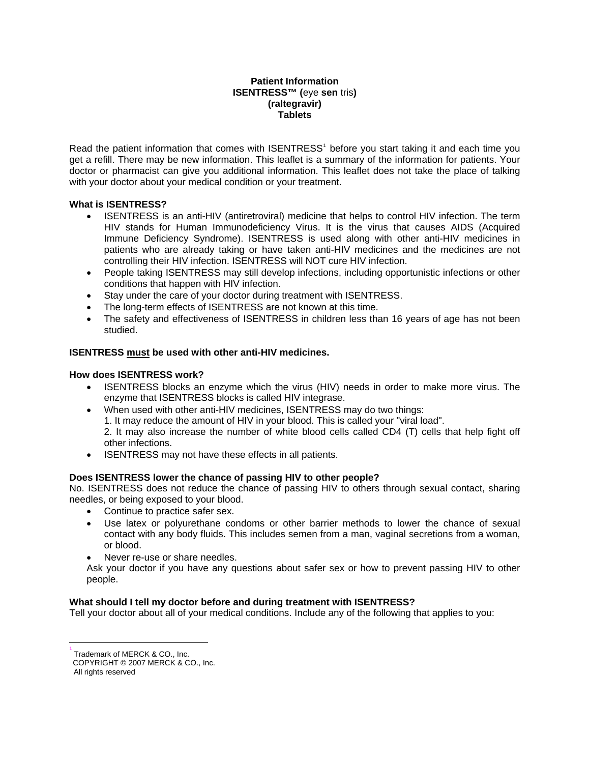# **Patient Information ISENTRESS™ (**eye **sen** tris**) (raltegravir) Tablets**

Read the patient information that comes with ISENTRESS<sup>[1](#page-0-0)</sup> before you start taking it and each time you get a refill. There may be new information. This leaflet is a summary of the information for patients. Your doctor or pharmacist can give you additional information. This leaflet does not take the place of talking with your doctor about your medical condition or your treatment.

## **What is ISENTRESS?**

- ISENTRESS is an anti-HIV (antiretroviral) medicine that helps to control HIV infection. The term HIV stands for Human Immunodeficiency Virus. It is the virus that causes AIDS (Acquired Immune Deficiency Syndrome). ISENTRESS is used along with other anti-HIV medicines in patients who are already taking or have taken anti-HIV medicines and the medicines are not controlling their HIV infection. ISENTRESS will NOT cure HIV infection.
- People taking ISENTRESS may still develop infections, including opportunistic infections or other conditions that happen with HIV infection.
- Stay under the care of your doctor during treatment with ISENTRESS.
- The long-term effects of ISENTRESS are not known at this time.
- The safety and effectiveness of ISENTRESS in children less than 16 years of age has not been studied.

# **ISENTRESS must be used with other anti-HIV medicines.**

## **How does ISENTRESS work?**

- ISENTRESS blocks an enzyme which the virus (HIV) needs in order to make more virus. The enzyme that ISENTRESS blocks is called HIV integrase.
- When used with other anti-HIV medicines, ISENTRESS may do two things: 1. It may reduce the amount of HIV in your blood. This is called your "viral load". 2. It may also increase the number of white blood cells called CD4 (T) cells that help fight off other infections.
- ISENTRESS may not have these effects in all patients.

# **Does ISENTRESS lower the chance of passing HIV to other people?**

No. ISENTRESS does not reduce the chance of passing HIV to others through sexual contact, sharing needles, or being exposed to your blood.

- Continue to practice safer sex.
- Use latex or polyurethane condoms or other barrier methods to lower the chance of sexual contact with any body fluids. This includes semen from a man, vaginal secretions from a woman, or blood.
- Never re-use or share needles.

Ask your doctor if you have any questions about safer sex or how to prevent passing HIV to other people.

# **What should I tell my doctor before and during treatment with ISENTRESS?**

Tell your doctor about all of your medical conditions. Include any of the following that applies to you:

l

<span id="page-0-0"></span><sup>1</sup> Trademark of MERCK & CO., Inc.

COPYRIGHT © 2007 MERCK & CO., Inc.

All rights reserved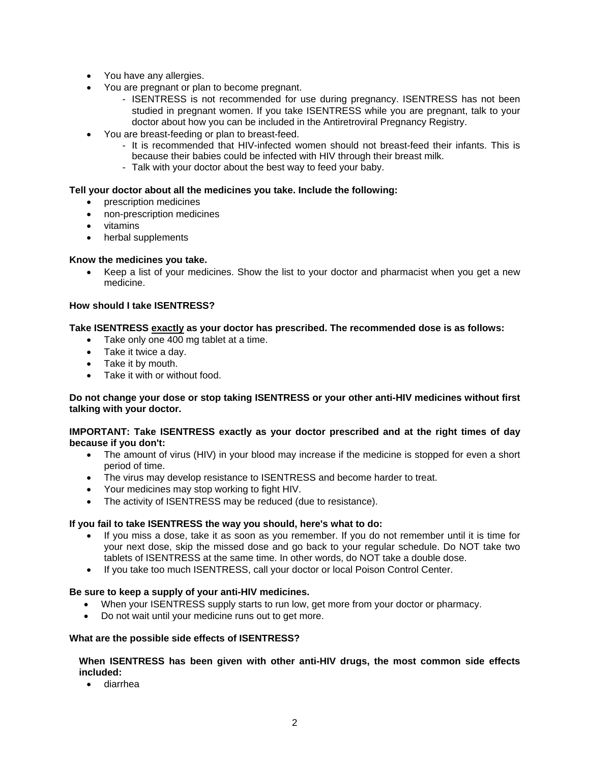- You have any allergies.
- You are pregnant or plan to become pregnant.
	- ISENTRESS is not recommended for use during pregnancy. ISENTRESS has not been studied in pregnant women. If you take ISENTRESS while you are pregnant, talk to your doctor about how you can be included in the Antiretroviral Pregnancy Registry.
- You are breast-feeding or plan to breast-feed.
	- It is recommended that HIV-infected women should not breast-feed their infants. This is because their babies could be infected with HIV through their breast milk.
	- Talk with your doctor about the best way to feed your baby.

## **Tell your doctor about all the medicines you take. Include the following:**

- prescription medicines
- non-prescription medicines
- vitamins
- herbal supplements

## **Know the medicines you take.**

• Keep a list of your medicines. Show the list to your doctor and pharmacist when you get a new medicine.

## **How should I take ISENTRESS?**

## **Take ISENTRESS exactly as your doctor has prescribed. The recommended dose is as follows:**

- Take only one 400 mg tablet at a time.
- Take it twice a day.
- Take it by mouth.
- Take it with or without food.

## **Do not change your dose or stop taking ISENTRESS or your other anti-HIV medicines without first talking with your doctor.**

## **IMPORTANT: Take ISENTRESS exactly as your doctor prescribed and at the right times of day because if you don't:**

- The amount of virus (HIV) in your blood may increase if the medicine is stopped for even a short period of time.
- The virus may develop resistance to ISENTRESS and become harder to treat.
- Your medicines may stop working to fight HIV.
- The activity of ISENTRESS may be reduced (due to resistance).

## **If you fail to take ISENTRESS the way you should, here's what to do:**

- If you miss a dose, take it as soon as you remember. If you do not remember until it is time for your next dose, skip the missed dose and go back to your regular schedule. Do NOT take two tablets of ISENTRESS at the same time. In other words, do NOT take a double dose.
- If you take too much ISENTRESS, call your doctor or local Poison Control Center.

## **Be sure to keep a supply of your anti-HIV medicines.**

- When your ISENTRESS supply starts to run low, get more from your doctor or pharmacy.
- Do not wait until your medicine runs out to get more.

## **What are the possible side effects of ISENTRESS?**

## **When ISENTRESS has been given with other anti-HIV drugs, the most common side effects included:**

• diarrhea